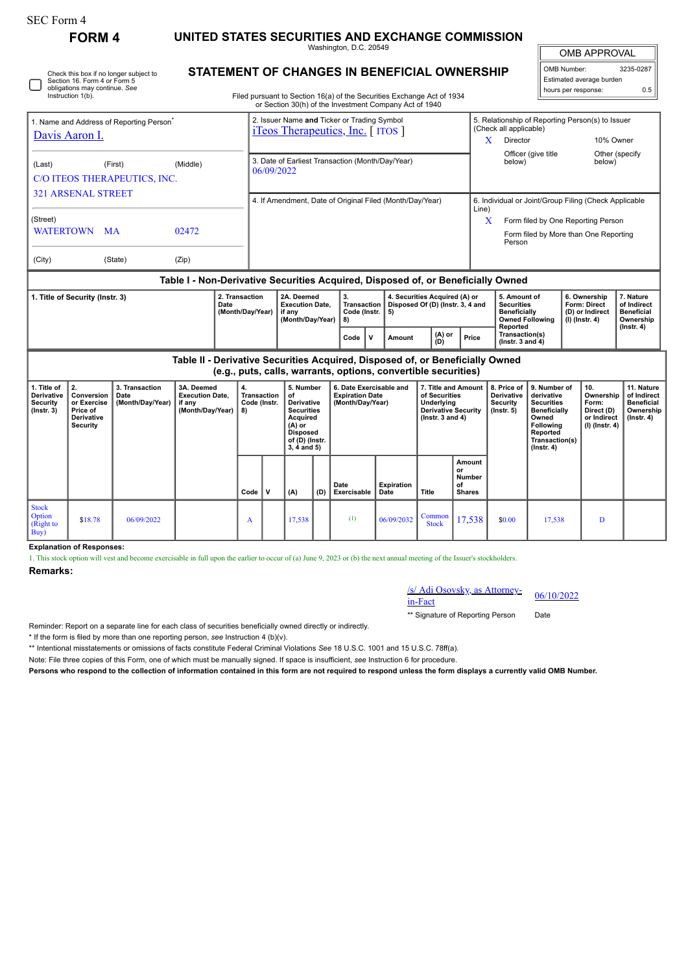| <b>SEC Form 4</b>                                                                                                            | <b>FORM4</b>                                                                 |                                            |                                                                               |                                         |                                                                                                                        |                                                                                                                                         |     |                                                                       |                                                                                                    |                                                                                                          |                                               |                                                                                                                  |                                                                                                                                                |                                                                                    |                                                                          |                                                                                 |  |
|------------------------------------------------------------------------------------------------------------------------------|------------------------------------------------------------------------------|--------------------------------------------|-------------------------------------------------------------------------------|-----------------------------------------|------------------------------------------------------------------------------------------------------------------------|-----------------------------------------------------------------------------------------------------------------------------------------|-----|-----------------------------------------------------------------------|----------------------------------------------------------------------------------------------------|----------------------------------------------------------------------------------------------------------|-----------------------------------------------|------------------------------------------------------------------------------------------------------------------|------------------------------------------------------------------------------------------------------------------------------------------------|------------------------------------------------------------------------------------|--------------------------------------------------------------------------|---------------------------------------------------------------------------------|--|
|                                                                                                                              |                                                                              |                                            |                                                                               |                                         | UNITED STATES SECURITIES AND EXCHANGE COMMISSION<br>Washington, D.C. 20549                                             |                                                                                                                                         |     |                                                                       |                                                                                                    |                                                                                                          |                                               |                                                                                                                  |                                                                                                                                                | <b>OMB APPROVAL</b>                                                                |                                                                          |                                                                                 |  |
| Check this box if no longer subject to<br>Section 16. Form 4 or Form 5<br>obligations may continue. See<br>Instruction 1(b). |                                                                              |                                            |                                                                               |                                         | STATEMENT OF CHANGES IN BENEFICIAL OWNERSHIP<br>Filed pursuant to Section 16(a) of the Securities Exchange Act of 1934 |                                                                                                                                         |     |                                                                       |                                                                                                    |                                                                                                          |                                               |                                                                                                                  |                                                                                                                                                | 3235-0287<br>OMB Number:<br>Estimated average burden<br>hours per response:<br>0.5 |                                                                          |                                                                                 |  |
|                                                                                                                              |                                                                              |                                            |                                                                               |                                         |                                                                                                                        |                                                                                                                                         |     |                                                                       | or Section 30(h) of the Investment Company Act of 1940                                             |                                                                                                          |                                               |                                                                                                                  |                                                                                                                                                |                                                                                    |                                                                          |                                                                                 |  |
| 1. Name and Address of Reporting Person <sup>®</sup><br>Davis Aaron I.                                                       |                                                                              |                                            |                                                                               |                                         | 2. Issuer Name and Ticker or Trading Symbol<br><i>i</i> Teos Therapeutics, Inc. [ITOS]                                 |                                                                                                                                         |     |                                                                       |                                                                                                    |                                                                                                          |                                               | (Check all applicable)<br>Director<br>X                                                                          |                                                                                                                                                | 5. Relationship of Reporting Person(s) to Issuer<br>10% Owner                      |                                                                          |                                                                                 |  |
| (Middle)<br>(Last)<br>(First)<br>C/O ITEOS THERAPEUTICS, INC.                                                                |                                                                              |                                            |                                                                               |                                         | 3. Date of Earliest Transaction (Month/Day/Year)<br>below)<br>06/09/2022                                               |                                                                                                                                         |     |                                                                       |                                                                                                    |                                                                                                          |                                               |                                                                                                                  |                                                                                                                                                | Officer (give title<br>Other (specify<br>below)                                    |                                                                          |                                                                                 |  |
| <b>321 ARSENAL STREET</b><br>(Street)<br><b>WATERTOWN</b><br>02472<br><b>MA</b>                                              |                                                                              |                                            |                                                                               |                                         | 4. If Amendment, Date of Original Filed (Month/Day/Year)<br>Line)                                                      |                                                                                                                                         |     |                                                                       |                                                                                                    |                                                                                                          |                                               |                                                                                                                  | 6. Individual or Joint/Group Filing (Check Applicable<br>X<br>Form filed by One Reporting Person<br>Form filed by More than One Reporting      |                                                                                    |                                                                          |                                                                                 |  |
| (City)<br>(State)<br>(Zip)                                                                                                   |                                                                              |                                            |                                                                               |                                         | Person                                                                                                                 |                                                                                                                                         |     |                                                                       |                                                                                                    |                                                                                                          |                                               |                                                                                                                  |                                                                                                                                                |                                                                                    |                                                                          |                                                                                 |  |
| Table I - Non-Derivative Securities Acquired, Disposed of, or Beneficially Owned<br>1. Title of Security (Instr. 3)<br>Date  |                                                                              |                                            |                                                                               | 2. Transaction<br>(Month/Day/Year)      |                                                                                                                        | 2A. Deemed<br><b>Execution Date,</b><br>if any<br>(Month/Day/Year)                                                                      |     | 3.<br>Transaction<br>Code (Instr.<br>8)                               | 4. Securities Acquired (A) or<br>Disposed Of (D) (Instr. 3, 4 and<br>5)<br>$(A)$ or<br>$\mathbf v$ |                                                                                                          |                                               | 5. Amount of<br><b>Securities</b><br><b>Beneficially</b><br><b>Owned Following</b><br>Reported<br>Transaction(s) |                                                                                                                                                | 6. Ownership<br>Form: Direct<br>(D) or Indirect<br>$(I)$ (Instr. 4)                |                                                                          | 7. Nature<br>of Indirect<br><b>Beneficial</b><br>Ownership<br>$($ Instr. 4 $)$  |  |
|                                                                                                                              |                                                                              |                                            | Table II - Derivative Securities Acquired, Disposed of, or Beneficially Owned |                                         |                                                                                                                        |                                                                                                                                         |     | Code                                                                  | Amount<br>(e.g., puts, calls, warrants, options, convertible securities)                           | (D)                                                                                                      | Price                                         | (Instr. $3$ and $4$ )                                                                                            |                                                                                                                                                |                                                                                    |                                                                          |                                                                                 |  |
| 1. Title of<br>Derivative<br>Security<br>$($ Instr. 3 $)$                                                                    | 2.<br>Conversion<br>or Exercise<br>Price of<br>Derivative<br><b>Security</b> | 3. Transaction<br>Date<br>(Month/Day/Year) | 3A. Deemed<br><b>Execution Date.</b><br>if any<br>(Month/Day/Year)            | 4.<br>Transaction<br>Code (Instr.<br>8) |                                                                                                                        | 5. Number<br>of<br><b>Derivative</b><br><b>Securities</b><br>Acquired<br>(A) or<br><b>Disposed</b><br>of (D) (Instr.<br>$3, 4$ and $5)$ |     | 6. Date Exercisable and<br><b>Expiration Date</b><br>(Month/Day/Year) |                                                                                                    | 7. Title and Amount<br>of Securities<br>Underlying<br><b>Derivative Security</b><br>( $lnstr. 3 and 4$ ) |                                               | 8. Price of<br><b>Derivative</b><br>Security<br>$($ lnstr. 5 $)$                                                 | 9. Number of<br>derivative<br><b>Securities</b><br><b>Beneficially</b><br>Owned<br>Following<br>Reported<br>Transaction(s)<br>$($ Instr. 4 $)$ |                                                                                    | 10.<br>Ownership<br>Form:<br>Direct (D)<br>or Indirect<br>(I) (Instr. 4) | 11. Nature<br>of Indirect<br><b>Beneficial</b><br>Ownership<br>$($ lnstr. 4 $)$ |  |
|                                                                                                                              |                                                                              |                                            |                                                                               | Code                                    | $\mathbf v$                                                                                                            | (A)                                                                                                                                     | (D) | Date<br>Exercisable                                                   | <b>Expiration</b><br>Date                                                                          | Title                                                                                                    | Amount<br>or<br>Number<br>of<br><b>Shares</b> |                                                                                                                  |                                                                                                                                                |                                                                                    |                                                                          |                                                                                 |  |
| <b>Stock</b><br>Option<br>(Right to<br>Buy)                                                                                  | \$18.78                                                                      | 06/09/2022                                 |                                                                               | A                                       |                                                                                                                        | 17,538                                                                                                                                  |     | (1)                                                                   | 06/09/2032                                                                                         | Common<br><b>Stock</b>                                                                                   | 17,538                                        | \$0.00                                                                                                           | 17,538                                                                                                                                         |                                                                                    | D                                                                        |                                                                                 |  |

**Explanation of Responses:**

1. This stock option will vest and become exercisable in full upon the earlier to occur of (a) June 9, 2023 or (b) the next annual meeting of the Issuer's stockholders.

## **Remarks:**

/s/ Adi Osovsky, as Attorney-in-Fact 06/10/2022

\*\* Signature of Reporting Person Date

Reminder: Report on a separate line for each class of securities beneficially owned directly or indirectly.

\* If the form is filed by more than one reporting person, *see* Instruction 4 (b)(v).

\*\* Intentional misstatements or omissions of facts constitute Federal Criminal Violations *See* 18 U.S.C. 1001 and 15 U.S.C. 78ff(a).

Note: File three copies of this Form, one of which must be manually signed. If space is insufficient, *see* Instruction 6 for procedure.

**Persons who respond to the collection of information contained in this form are not required to respond unless the form displays a currently valid OMB Number.**